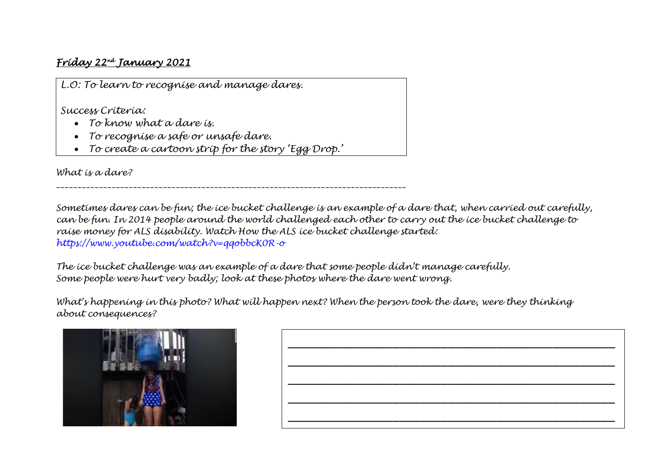## *Friday 22nd January 2021*

*L.O: To learn to recognise and manage dares.*

*Success Criteria:*

- *To know what a dare is.*
- *To recognise a safe or unsafe dare.*
- *To create a cartoon strip for the story 'Egg Drop.'*

*\_\_\_\_\_\_\_\_\_\_\_\_\_\_\_\_\_\_\_\_\_\_\_\_\_\_\_\_\_\_\_\_\_\_\_\_\_\_\_\_\_\_\_\_\_\_\_\_\_\_\_\_\_\_\_\_\_\_\_\_\_\_\_\_\_\_\_\_\_\_\_\_\_\_\_\_\_\_\_\_\_\_*

*What is a dare?* 

*Sometimes dares can be fun; the ice bucket challenge is an example of a dare that, when carried out carefully, can be fun. In 2014 people around the world challenged each other to carry out the ice bucket challenge to raise money for ALS disability. Watch How the ALS ice bucket challenge started: https://www.youtube.com/watch?v=qqobbcK0R-o*

*The ice bucket challenge was an example of a dare that some people didn't manage carefully. Some people were hurt very badly; look at these photos where the dare went wrong.*

*What's happening in this photo? What will happen next? When the person took the dare, were they thinking about consequences?*



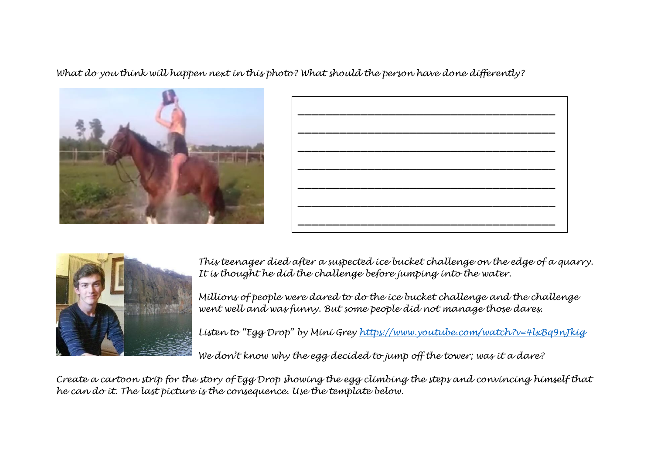*What do you think will happen next in this photo? What should the person have done differently?*







*This teenager died after a suspected ice bucket challenge on the edge of a quarry. It is thought he did the challenge before jumping into the water.* 

*Millions of people were dared to do the ice bucket challenge and the challenge went well and was funny. But some people did not manage those dares.*

*Listen to "Egg Drop" by Mini Grey<https://www.youtube.com/watch?v=4lxBq9nJkig>*

*We don't know why the egg decided to jump off the tower; was it a dare?* 

*Create a cartoon strip for the story of Egg Drop showing the egg climbing the steps and convincing himself that he can do it. The last picture is the consequence. Use the template below.*